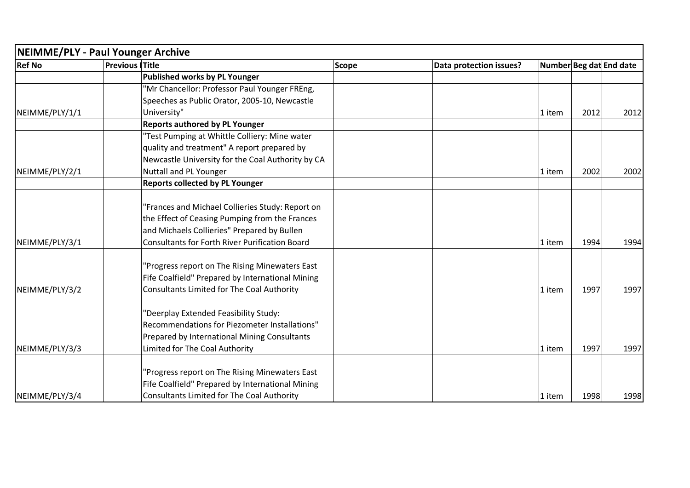| NEIMME/PLY - Paul Younger Archive |                       |                                                       |       |                         |        |                         |      |
|-----------------------------------|-----------------------|-------------------------------------------------------|-------|-------------------------|--------|-------------------------|------|
| <b>Ref No</b>                     | <b>Previous Title</b> |                                                       | Scope | Data protection issues? |        | Number Beg dat End date |      |
|                                   |                       | <b>Published works by PL Younger</b>                  |       |                         |        |                         |      |
|                                   |                       | 'Mr Chancellor: Professor Paul Younger FREng,         |       |                         |        |                         |      |
|                                   |                       | Speeches as Public Orator, 2005-10, Newcastle         |       |                         |        |                         |      |
| NEIMME/PLY/1/1                    |                       | University"                                           |       |                         | 1 item | 2012                    | 2012 |
|                                   |                       | <b>Reports authored by PL Younger</b>                 |       |                         |        |                         |      |
|                                   |                       | 'Test Pumping at Whittle Colliery: Mine water         |       |                         |        |                         |      |
|                                   |                       | quality and treatment" A report prepared by           |       |                         |        |                         |      |
|                                   |                       | Newcastle University for the Coal Authority by CA     |       |                         |        |                         |      |
| NEIMME/PLY/2/1                    |                       | <b>Nuttall and PL Younger</b>                         |       |                         | 1 item | 2002                    | 2002 |
|                                   |                       | <b>Reports collected by PL Younger</b>                |       |                         |        |                         |      |
|                                   |                       |                                                       |       |                         |        |                         |      |
|                                   |                       | "Frances and Michael Collieries Study: Report on      |       |                         |        |                         |      |
|                                   |                       | the Effect of Ceasing Pumping from the Frances        |       |                         |        |                         |      |
|                                   |                       | and Michaels Collieries" Prepared by Bullen           |       |                         |        |                         |      |
| NEIMME/PLY/3/1                    |                       | <b>Consultants for Forth River Purification Board</b> |       |                         | 1 item | 1994                    | 1994 |
|                                   |                       | 'Progress report on The Rising Minewaters East        |       |                         |        |                         |      |
|                                   |                       | Fife Coalfield" Prepared by International Mining      |       |                         |        |                         |      |
| NEIMME/PLY/3/2                    |                       | Consultants Limited for The Coal Authority            |       |                         | 1 item | 1997                    | 1997 |
|                                   |                       | 'Deerplay Extended Feasibility Study:                 |       |                         |        |                         |      |
|                                   |                       | Recommendations for Piezometer Installations"         |       |                         |        |                         |      |
|                                   |                       | Prepared by International Mining Consultants          |       |                         |        |                         |      |
| NEIMME/PLY/3/3                    |                       | Limited for The Coal Authority                        |       |                         | 1 item | 1997                    | 1997 |
|                                   |                       |                                                       |       |                         |        |                         |      |
|                                   |                       | "Progress report on The Rising Minewaters East        |       |                         |        |                         |      |
|                                   |                       | Fife Coalfield" Prepared by International Mining      |       |                         |        |                         |      |
| NEIMME/PLY/3/4                    |                       | <b>Consultants Limited for The Coal Authority</b>     |       |                         | 1 item | 1998                    | 1998 |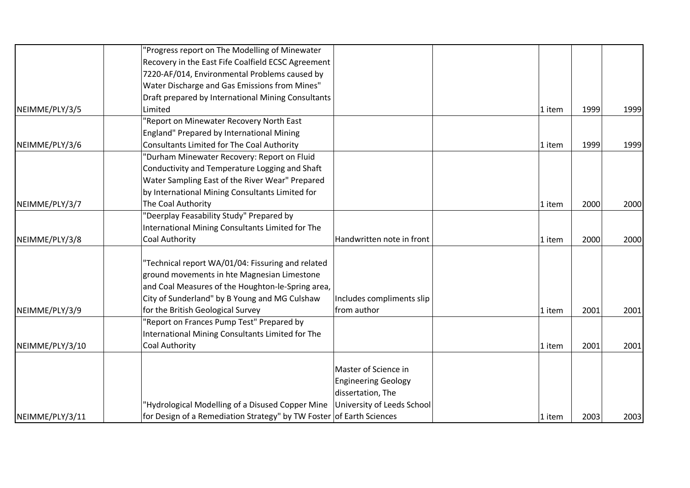|                 | 'Progress report on The Modelling of Minewater                       |                            |        |      |      |
|-----------------|----------------------------------------------------------------------|----------------------------|--------|------|------|
|                 | Recovery in the East Fife Coalfield ECSC Agreement                   |                            |        |      |      |
|                 | 7220-AF/014, Environmental Problems caused by                        |                            |        |      |      |
|                 | Water Discharge and Gas Emissions from Mines"                        |                            |        |      |      |
|                 | Draft prepared by International Mining Consultants                   |                            |        |      |      |
| NEIMME/PLY/3/5  | Limited                                                              |                            | 1 item | 1999 | 1999 |
|                 | 'Report on Minewater Recovery North East                             |                            |        |      |      |
|                 | England" Prepared by International Mining                            |                            |        |      |      |
| NEIMME/PLY/3/6  | Consultants Limited for The Coal Authority                           |                            | 1 item | 1999 | 1999 |
|                 | 'Durham Minewater Recovery: Report on Fluid                          |                            |        |      |      |
|                 | Conductivity and Temperature Logging and Shaft                       |                            |        |      |      |
|                 | Water Sampling East of the River Wear" Prepared                      |                            |        |      |      |
|                 | by International Mining Consultants Limited for                      |                            |        |      |      |
| NEIMME/PLY/3/7  | The Coal Authority                                                   |                            | 1 item | 2000 | 2000 |
|                 | "Deerplay Feasability Study" Prepared by                             |                            |        |      |      |
|                 | International Mining Consultants Limited for The                     |                            |        |      |      |
| NEIMME/PLY/3/8  | <b>Coal Authority</b>                                                | Handwritten note in front  | 1 item | 2000 | 2000 |
|                 | 'Technical report WA/01/04: Fissuring and related                    |                            |        |      |      |
|                 | ground movements in hte Magnesian Limestone                          |                            |        |      |      |
|                 | and Coal Measures of the Houghton-le-Spring area,                    |                            |        |      |      |
|                 | City of Sunderland" by B Young and MG Culshaw                        | Includes compliments slip  |        |      |      |
| NEIMME/PLY/3/9  | for the British Geological Survey                                    | from author                | 1 item | 2001 | 2001 |
|                 | 'Report on Frances Pump Test" Prepared by                            |                            |        |      |      |
|                 | International Mining Consultants Limited for The                     |                            |        |      |      |
| NEIMME/PLY/3/10 | <b>Coal Authority</b>                                                |                            | 1 item | 2001 | 2001 |
|                 |                                                                      |                            |        |      |      |
|                 |                                                                      | Master of Science in       |        |      |      |
|                 |                                                                      | <b>Engineering Geology</b> |        |      |      |
|                 |                                                                      | dissertation, The          |        |      |      |
|                 | 'Hydrological Modelling of a Disused Copper Mine                     | University of Leeds School |        |      |      |
| NEIMME/PLY/3/11 | for Design of a Remediation Strategy" by TW Foster of Earth Sciences |                            | 1 item | 2003 | 2003 |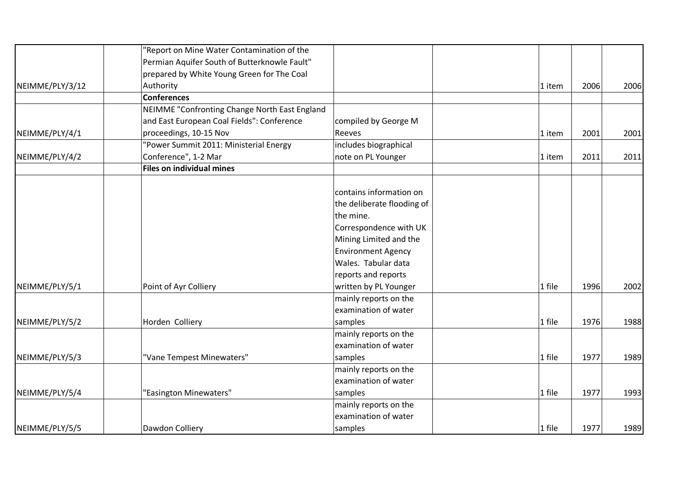|                 | "Report on Mine Water Contamination of the    |                            |        |                                                                                                |      |
|-----------------|-----------------------------------------------|----------------------------|--------|------------------------------------------------------------------------------------------------|------|
|                 | Permian Aquifer South of Butterknowle Fault"  |                            |        |                                                                                                |      |
|                 | prepared by White Young Green for The Coal    |                            |        |                                                                                                |      |
| NEIMME/PLY/3/12 | Authority                                     |                            | 1 item | 2006                                                                                           | 2006 |
|                 | <b>Conferences</b>                            |                            |        |                                                                                                |      |
|                 | NEIMME "Confronting Change North East England |                            |        |                                                                                                |      |
|                 | and East European Coal Fields": Conference    | compiled by George M       |        |                                                                                                |      |
| NEIMME/PLY/4/1  | proceedings, 10-15 Nov                        | Reeves                     | 1 item | 2001<br>2011<br>1 item<br>1 file<br>1996<br>1 file<br>1976<br>1 file<br>1977<br>1 file<br>1977 | 2001 |
|                 | "Power Summit 2011: Ministerial Energy        | includes biographical      |        |                                                                                                |      |
| NEIMME/PLY/4/2  | Conference", 1-2 Mar                          | note on PL Younger         |        |                                                                                                | 2011 |
|                 | <b>Files on individual mines</b>              |                            |        |                                                                                                |      |
|                 |                                               |                            |        |                                                                                                |      |
|                 |                                               | contains information on    |        |                                                                                                |      |
|                 |                                               | the deliberate flooding of |        |                                                                                                |      |
|                 |                                               | the mine.                  |        |                                                                                                |      |
|                 |                                               | Correspondence with UK     |        |                                                                                                |      |
|                 |                                               | Mining Limited and the     |        |                                                                                                |      |
|                 |                                               | <b>Environment Agency</b>  |        |                                                                                                |      |
|                 |                                               | Wales. Tabular data        |        |                                                                                                |      |
|                 |                                               | reports and reports        |        |                                                                                                |      |
| NEIMME/PLY/5/1  | Point of Ayr Colliery                         | written by PL Younger      |        |                                                                                                | 2002 |
|                 |                                               | mainly reports on the      |        |                                                                                                |      |
|                 |                                               | examination of water       |        |                                                                                                |      |
| NEIMME/PLY/5/2  | Horden Colliery                               | samples                    |        |                                                                                                | 1988 |
|                 |                                               | mainly reports on the      |        |                                                                                                |      |
|                 |                                               | examination of water       |        |                                                                                                |      |
| NEIMME/PLY/5/3  | "Vane Tempest Minewaters"                     | samples                    |        |                                                                                                | 1989 |
|                 |                                               | mainly reports on the      |        |                                                                                                |      |
|                 |                                               | examination of water       |        |                                                                                                |      |
| NEIMME/PLY/5/4  | "Easington Minewaters"                        | samples                    |        |                                                                                                | 1993 |
|                 |                                               | mainly reports on the      |        |                                                                                                |      |
|                 |                                               | examination of water       |        |                                                                                                |      |
| NEIMME/PLY/5/5  | Dawdon Colliery                               | samples                    | 1 file | 1977                                                                                           | 1989 |